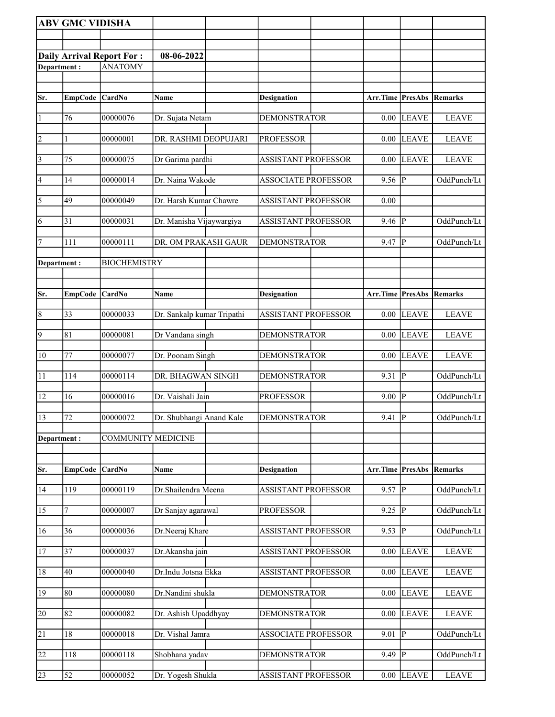|                 | <b>ABV GMC VIDISHA</b> |                                  |                            |                            |                                 |                         |              |
|-----------------|------------------------|----------------------------------|----------------------------|----------------------------|---------------------------------|-------------------------|--------------|
|                 |                        |                                  |                            |                            |                                 |                         |              |
|                 |                        | <b>Daily Arrival Report For:</b> | 08-06-2022                 |                            |                                 |                         |              |
| Department:     |                        | <b>ANATOMY</b>                   |                            |                            |                                 |                         |              |
|                 |                        |                                  |                            |                            |                                 |                         |              |
| Sr.             | EmpCode CardNo         |                                  | <b>Name</b>                | <b>Designation</b>         | <b>Arr.Time PresAbs Remarks</b> |                         |              |
|                 |                        |                                  |                            |                            |                                 |                         |              |
| $\vert$ 1       | 76                     | 00000076                         | Dr. Sujata Netam           | <b>DEMONSTRATOR</b>        | 0.00                            | <b>LEAVE</b>            | <b>LEAVE</b> |
| $\overline{2}$  | 1                      | 00000001                         | DR. RASHMI DEOPUJARI       | <b>PROFESSOR</b>           | 0.00                            | <b>LEAVE</b>            | <b>LEAVE</b> |
| $\vert$ 3       | 75                     | 00000075                         | Dr Garima pardhi           | <b>ASSISTANT PROFESSOR</b> | 0.00                            | <b>LEAVE</b>            | <b>LEAVE</b> |
| 4               | 14                     | 00000014                         | Dr. Naina Wakode           | <b>ASSOCIATE PROFESSOR</b> | 9.56                            | $\mathbf{P}$            | OddPunch/Lt  |
| $\overline{5}$  | 49                     | 00000049                         | Dr. Harsh Kumar Chawre     | <b>ASSISTANT PROFESSOR</b> | 0.00                            |                         |              |
| 6               | 31                     | 00000031                         | Dr. Manisha Vijaywargiya   | <b>ASSISTANT PROFESSOR</b> | 9.46                            | $\overline{P}$          | OddPunch/Lt  |
| 7               | 111                    | 00000111                         | DR. OM PRAKASH GAUR        | <b>DEMONSTRATOR</b>        | 9.47                            | $\overline{P}$          | OddPunch/Lt  |
| Department:     |                        | <b>BIOCHEMISTRY</b>              |                            |                            |                                 |                         |              |
|                 |                        |                                  |                            |                            |                                 |                         |              |
| Sr.             | <b>EmpCode</b>         | <b>CardNo</b>                    | Name                       | <b>Designation</b>         | Arr.Time PresAbs                |                         | Remarks      |
| $\overline{8}$  | 33                     | 00000033                         | Dr. Sankalp kumar Tripathi | <b>ASSISTANT PROFESSOR</b> | 0.00                            | <b>LEAVE</b>            | <b>LEAVE</b> |
| $\overline{9}$  | 81                     | 00000081                         | Dr Vandana singh           | <b>DEMONSTRATOR</b>        | 0.00                            | <b>LEAVE</b>            | <b>LEAVE</b> |
| $\overline{10}$ | 77                     | 00000077                         | Dr. Poonam Singh           | <b>DEMONSTRATOR</b>        | 0.00                            | <b>LEAVE</b>            | <b>LEAVE</b> |
| 11              | 114                    | 00000114                         | DR. BHAGWAN SINGH          | <b>DEMONSTRATOR</b>        | 9.31                            | ${\bf P}$               | OddPunch/Lt  |
| 12              | 16                     | 00000016                         | Dr. Vaishali Jain          | <b>PROFESSOR</b>           | 9.00                            | $\mathbf P$             | OddPunch/Lt  |
| 13              | 72                     | 00000072                         | Dr. Shubhangi Anand Kale   | <b>DEMONSTRATOR</b>        | 9.41                            | $\overline{\mathbb{P}}$ | OddPunch/Lt  |
| Department:     |                        | <b>COMMUNITY MEDICINE</b>        |                            |                            |                                 |                         |              |
|                 |                        |                                  |                            |                            |                                 |                         |              |
| Sr.             | <b>EmpCode</b>         | <b>CardNo</b>                    | Name                       | <b>Designation</b>         | <b>Arr.Time PresAbs Remarks</b> |                         |              |
| 14              | 119                    | 00000119                         | Dr.Shailendra Meena        | <b>ASSISTANT PROFESSOR</b> | 9.57                            | ${\bf P}$               | OddPunch/Lt  |
| $\overline{15}$ | 7                      | 00000007                         | Dr Sanjay agarawal         | <b>PROFESSOR</b>           | 9.25                            | $\mathbf P$             | OddPunch/Lt  |
| 16              | 36                     | 00000036                         | Dr.Neeraj Khare            | <b>ASSISTANT PROFESSOR</b> | 9.53                            | P                       | OddPunch/Lt  |
| 17              | 37                     | 00000037                         | Dr.Akansha jain            | <b>ASSISTANT PROFESSOR</b> | 0.00                            | <b>LEAVE</b>            | <b>LEAVE</b> |
| 18              | 40                     | 00000040                         | Dr.Indu Jotsna Ekka        | <b>ASSISTANT PROFESSOR</b> | 0.00                            | <b>LEAVE</b>            | <b>LEAVE</b> |
| $\overline{19}$ | 80                     | 00000080                         | Dr.Nandini shukla          | <b>DEMONSTRATOR</b>        | 0.00                            | <b>LEAVE</b>            | <b>LEAVE</b> |
| $\overline{20}$ | 82                     | 00000082                         | Dr. Ashish Upaddhyay       | <b>DEMONSTRATOR</b>        | 0.00                            | <b>LEAVE</b>            | <b>LEAVE</b> |
| 21              | 18                     | 00000018                         | Dr. Vishal Jamra           | <b>ASSOCIATE PROFESSOR</b> | 9.01                            | $\, {\bf P}$            | OddPunch/Lt  |
| $\overline{22}$ | 118                    | 00000118                         | Shobhana yadav             | <b>DEMONSTRATOR</b>        | 9.49                            | $\mathbf{P}$            | OddPunch/Lt  |
| 23              | 52                     | 00000052                         | Dr. Yogesh Shukla          | <b>ASSISTANT PROFESSOR</b> | 0.00                            | <b>LEAVE</b>            | <b>LEAVE</b> |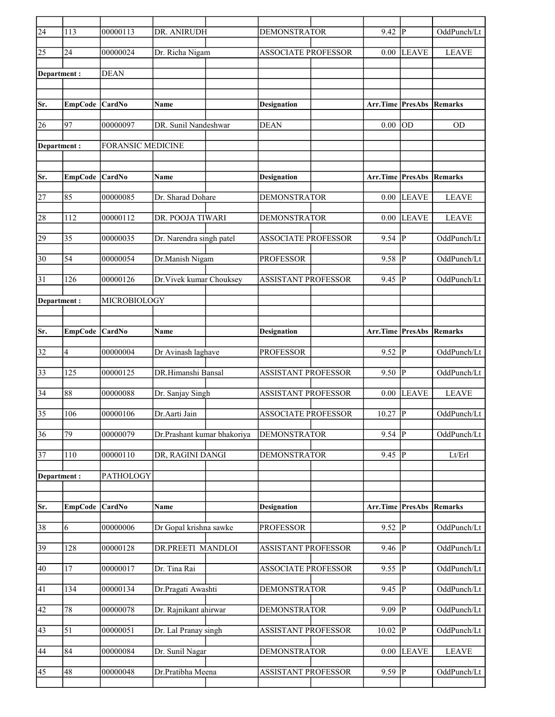| $\sqrt{24}$     | 113             | 00000113                 | DR. ANIRUDH                 | <b>DEMONSTRATOR</b>        | $9.42$ P                        |              | OddPunch/Lt    |
|-----------------|-----------------|--------------------------|-----------------------------|----------------------------|---------------------------------|--------------|----------------|
| 25              | 24              | 00000024                 | Dr. Richa Nigam             | <b>ASSOCIATE PROFESSOR</b> | 0.00                            | <b>LEAVE</b> | <b>LEAVE</b>   |
| Department:     |                 | <b>DEAN</b>              |                             |                            |                                 |              |                |
|                 |                 |                          |                             |                            |                                 |              |                |
| Sr.             | <b>EmpCode</b>  | <b>CardNo</b>            | <b>Name</b>                 | Designation                | <b>Arr.Time PresAbs Remarks</b> |              |                |
| 26              | 97              | 00000097                 | DR. Sunil Nandeshwar        | <b>DEAN</b>                | 0.00                            | <b>OD</b>    | <b>OD</b>      |
| Department:     |                 | <b>FORANSIC MEDICINE</b> |                             |                            |                                 |              |                |
|                 |                 |                          |                             |                            |                                 |              |                |
| Sr.             | <b>EmpCode</b>  | <b>CardNo</b>            | Name                        | <b>Designation</b>         | <b>Arr.Time PresAbs</b>         |              | Remarks        |
| 27              | 85              | 00000085                 | Dr. Sharad Dohare           | <b>DEMONSTRATOR</b>        | $0.00\,$                        | <b>LEAVE</b> | <b>LEAVE</b>   |
|                 | 112             | 00000112                 |                             |                            |                                 |              |                |
| 28              |                 |                          | DR. POOJA TIWARI            | <b>DEMONSTRATOR</b>        | 0.00                            | <b>LEAVE</b> | <b>LEAVE</b>   |
| 29              | 35              | 00000035                 | Dr. Narendra singh patel    | <b>ASSOCIATE PROFESSOR</b> | $9.54$ P                        |              | OddPunch/Lt    |
| 30              | 54              | 00000054                 | Dr.Manish Nigam             | <b>PROFESSOR</b>           | $9.58$ P                        |              | OddPunch/Lt    |
| 31              | 126             | 00000126                 | Dr. Vivek kumar Chouksey    | <b>ASSISTANT PROFESSOR</b> | 9.45                            | P            | OddPunch/Lt    |
| Department :    |                 | MICROBIOLOGY             |                             |                            |                                 |              |                |
|                 |                 |                          |                             |                            |                                 |              |                |
| Sr.             | EmpCode CardNo  |                          | <b>Name</b>                 | <b>Designation</b>         | Arr.Time PresAbs                |              | Remarks        |
| 32              | 4               | 00000004                 | Dr Avinash laghave          | <b>PROFESSOR</b>           | $9.52$ P                        |              | OddPunch/Lt    |
| 33              | 125             | 00000125                 | DR.Himanshi Bansal          | <b>ASSISTANT PROFESSOR</b> | $9.50$ P                        |              | OddPunch/Lt    |
| $\overline{34}$ | 88              | 00000088                 | Dr. Sanjay Singh            | <b>ASSISTANT PROFESSOR</b> | 0.00                            | <b>LEAVE</b> | <b>LEAVE</b>   |
| 35              | 106             | 00000106                 | Dr. Aarti Jain              | <b>ASSOCIATE PROFESSOR</b> | 10.27                           | P            | OddPunch/Lt    |
| 36              | $\overline{79}$ | 00000079                 | Dr.Prashant kumar bhakoriya | <b>DEMONSTRATOR</b>        | $9.54$ P                        |              | OddPunch/Lt    |
| $\overline{37}$ | 110             | 00000110                 | DR, RAGINI DANGI            | <b>DEMONSTRATOR</b>        | $9.45$ P                        |              | ${\rm Lt/Erl}$ |
| Department:     |                 | PATHOLOGY                |                             |                            |                                 |              |                |
|                 |                 |                          |                             |                            |                                 |              |                |
| Sr.             | <b>EmpCode</b>  | <b>CardNo</b>            | Name                        | <b>Designation</b>         | Arr.Time PresAbs                |              | Remarks        |
| 38              | 6               | 00000006                 | Dr Gopal krishna sawke      | <b>PROFESSOR</b>           | $9.52$ P                        |              | OddPunch/Lt    |
| 39              | 128             | 00000128                 | DR.PREETI MANDLOI           | <b>ASSISTANT PROFESSOR</b> | $9.46$ P                        |              | OddPunch/Lt    |
| 40              | 17              | 00000017                 | Dr. Tina Rai                | ASSOCIATE PROFESSOR        | 9.55                            | P            | OddPunch/Lt    |
| 41              | 134             | 00000134                 | Dr.Pragati Awashti          | <b>DEMONSTRATOR</b>        | $9.45$ P                        |              | OddPunch/Lt    |
| 42              | $78\,$          | 00000078                 | Dr. Rajnikant ahirwar       | <b>DEMONSTRATOR</b>        | 9.09                            | P            | OddPunch/Lt    |
| 43              | 51              | 00000051                 | Dr. Lal Pranay singh        | ASSISTANT PROFESSOR        | 10.02                           | P            | OddPunch/Lt    |
|                 |                 |                          |                             |                            |                                 |              |                |
| 44              | 84              | 00000084                 | Dr. Sunil Nagar             | <b>DEMONSTRATOR</b>        | 0.00                            | <b>LEAVE</b> | <b>LEAVE</b>   |
| 45              | 48              | 00000048                 | Dr.Pratibha Meena           | <b>ASSISTANT PROFESSOR</b> | 9.59 P                          |              | OddPunch/Lt    |
|                 |                 |                          |                             |                            |                                 |              |                |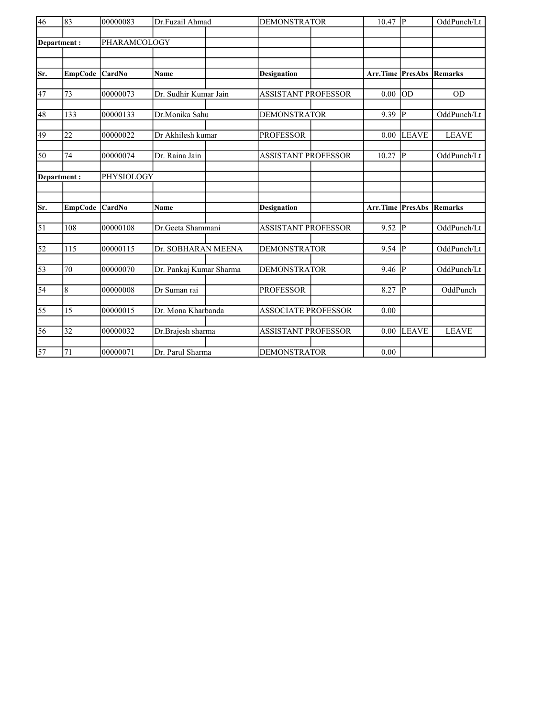| $\overline{46}$ | 83             | 00000083      | Dr.Fuzail Ahmad         | <b>DEMONSTRATOR</b>        | 10.47                   | P              | OddPunch/Lt    |
|-----------------|----------------|---------------|-------------------------|----------------------------|-------------------------|----------------|----------------|
|                 | Department:    | PHARAMCOLOGY  |                         |                            |                         |                |                |
|                 |                |               |                         |                            |                         |                |                |
|                 |                |               |                         |                            |                         |                |                |
| Sr.             | <b>EmpCode</b> | CardNo        | <b>Name</b>             | <b>Designation</b>         | <b>Arr.Time PresAbs</b> |                | Remarks        |
|                 |                |               |                         |                            |                         |                |                |
| 47              | 73             | 00000073      | Dr. Sudhir Kumar Jain   | <b>ASSISTANT PROFESSOR</b> | 0.00                    | <b>OD</b>      | <b>OD</b>      |
| 48              | 133            | 00000133      | Dr.Monika Sahu          | <b>DEMONSTRATOR</b>        | 9.39                    | $\overline{P}$ | OddPunch/Lt    |
| 49              | 22             | 00000022      | Dr Akhilesh kumar       | <b>PROFESSOR</b>           | 0.00                    | <b>LEAVE</b>   | <b>LEAVE</b>   |
|                 |                |               |                         |                            |                         |                |                |
| 50              | 74             | 00000074      | Dr. Raina Jain          | <b>ASSISTANT PROFESSOR</b> | 10.27                   | $\mathbf{P}$   | OddPunch/Lt    |
|                 |                |               |                         |                            |                         |                |                |
|                 | Department:    | PHYSIOLOGY    |                         |                            |                         |                |                |
|                 |                |               |                         |                            |                         |                |                |
| Sr.             | <b>EmpCode</b> | <b>CardNo</b> | <b>Name</b>             | <b>Designation</b>         | Arr.Time                | <b>PresAbs</b> | <b>Remarks</b> |
|                 |                |               |                         |                            |                         |                |                |
| $\overline{51}$ | 108            | 00000108      | Dr.Geeta Shammani       | <b>ASSISTANT PROFESSOR</b> | 9.52                    | $\overline{P}$ | OddPunch/Lt    |
|                 |                |               |                         |                            |                         |                |                |
| $\overline{52}$ | 115            | 00000115      | Dr. SOBHARAN MEENA      | <b>DEMONSTRATOR</b>        | $9.54$ P                |                | OddPunch/Lt    |
| $\overline{53}$ | 70             | 00000070      | Dr. Pankaj Kumar Sharma | <b>DEMONSTRATOR</b>        | $9.46 \overline{P}$     |                | OddPunch/Lt    |
|                 |                |               |                         |                            |                         |                |                |
| $\overline{54}$ | $\overline{8}$ | 00000008      | Dr Suman rai            | <b>PROFESSOR</b>           | 8.27                    | P              | OddPunch       |
|                 |                |               |                         |                            |                         |                |                |
| 55              | 15             | 00000015      | Dr. Mona Kharbanda      | <b>ASSOCIATE PROFESSOR</b> | 0.00                    |                |                |
| 56              | 32             | 00000032      | Dr.Brajesh sharma       | <b>ASSISTANT PROFESSOR</b> | 0.00                    | <b>LEAVE</b>   | <b>LEAVE</b>   |
|                 |                |               |                         |                            |                         |                |                |
| $\overline{57}$ | 71             | 00000071      | Dr. Parul Sharma        | <b>DEMONSTRATOR</b>        | 0.00                    |                |                |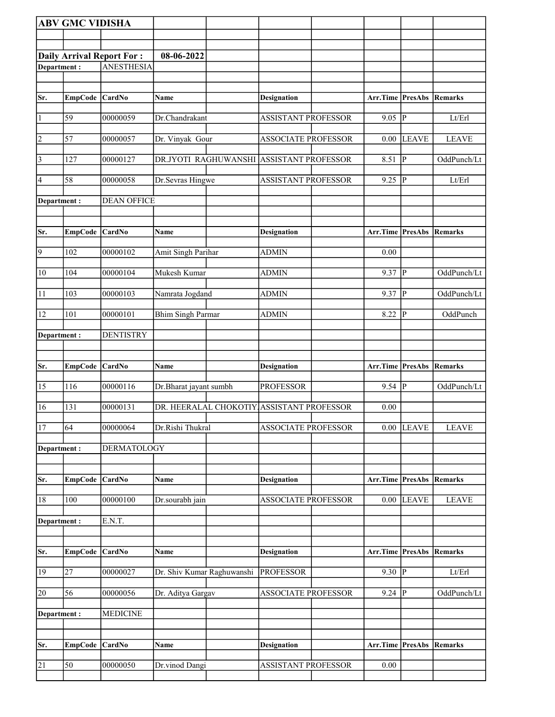|                | <b>ABV GMC VIDISHA</b> |                                  |                            |                                           |                                 |                |              |
|----------------|------------------------|----------------------------------|----------------------------|-------------------------------------------|---------------------------------|----------------|--------------|
|                |                        |                                  |                            |                                           |                                 |                |              |
|                |                        | <b>Daily Arrival Report For:</b> | 08-06-2022                 |                                           |                                 |                |              |
| Department:    |                        | <b>ANESTHESIA</b>                |                            |                                           |                                 |                |              |
|                |                        |                                  |                            |                                           |                                 |                |              |
| Sr.            | EmpCode CardNo         |                                  | Name                       | <b>Designation</b>                        | Arr.Time PresAbs Remarks        |                |              |
|                |                        |                                  |                            |                                           |                                 |                |              |
| $\vert$ 1      | 59                     | 00000059                         | Dr.Chandrakant             | <b>ASSISTANT PROFESSOR</b>                | $9.05$ P                        |                | Lt/Erl       |
| $\overline{2}$ | 57                     | 00000057                         | Dr. Vinyak Gour            | <b>ASSOCIATE PROFESSOR</b>                | 0.00                            | LEAVE          | <b>LEAVE</b> |
| $\overline{3}$ | 127                    | 00000127                         |                            | DR.JYOTI RAGHUWANSHI ASSISTANT PROFESSOR  | 8.51                            | IР             | OddPunch/Lt  |
| 4              | 58                     | 00000058                         | Dr.Sevras Hingwe           | ASSISTANT PROFESSOR                       | 9.25                            | <sup> </sup> P | Lt/Erl       |
| Department :   |                        | <b>DEAN OFFICE</b>               |                            |                                           |                                 |                |              |
|                |                        |                                  |                            |                                           |                                 |                |              |
| Sr.            | EmpCode CardNo         |                                  | Name                       | <b>Designation</b>                        | Arr.Time PresAbs Remarks        |                |              |
| $\overline{9}$ | 102                    | 00000102                         | Amit Singh Parihar         | <b>ADMIN</b>                              | 0.00                            |                |              |
| 10             | 104                    | 00000104                         | Mukesh Kumar               | <b>ADMIN</b>                              | 9.37 $ P $                      |                | OddPunch/Lt  |
| 11             | 103                    | 00000103                         | Namrata Jogdand            | <b>ADMIN</b>                              | 9.37                            | ∣P             | OddPunch/Lt  |
| 12             | 101                    | 00000101                         | <b>Bhim Singh Parmar</b>   | <b>ADMIN</b>                              | 8.22                            | $\mathbf P$    | OddPunch     |
| Department:    |                        | <b>DENTISTRY</b>                 |                            |                                           |                                 |                |              |
|                |                        |                                  |                            |                                           |                                 |                |              |
| Sr.            | <b>EmpCode</b>         | <b>CardNo</b>                    | Name                       | <b>Designation</b>                        | Arr.Time PresAbs                |                | Remarks      |
|                |                        |                                  |                            |                                           |                                 |                |              |
| 15             | 116                    | 00000116                         | Dr.Bharat jayant sumbh     | <b>PROFESSOR</b>                          | 9.54 $ \overline{P} $           |                | OddPunch/Lt  |
| 16             | 131                    | 00000131                         |                            | DR. HEERALAL CHOKOTIY ASSISTANT PROFESSOR | 0.00                            |                |              |
| 17             | 64                     | 00000064                         | Dr.Rishi Thukral           | <b>ASSOCIATE PROFESSOR</b>                |                                 | $0.00$ LEAVE   | <b>LEAVE</b> |
| Department:    |                        | <b>DERMATOLOGY</b>               |                            |                                           |                                 |                |              |
|                |                        |                                  |                            |                                           |                                 |                |              |
| Sr.            | <b>EmpCode</b>         | <b>CardNo</b>                    | Name                       | <b>Designation</b>                        | Arr.Time                        | PresAbs        | Remarks      |
| $18\,$         | 100                    | 00000100                         | Dr.sourabh jain            | <b>ASSOCIATE PROFESSOR</b>                | 0.00                            | <b>LEAVE</b>   | <b>LEAVE</b> |
| Department:    |                        | E.N.T.                           |                            |                                           |                                 |                |              |
|                |                        |                                  |                            |                                           |                                 |                |              |
| Sr.            | EmpCode CardNo         |                                  | Name                       | <b>Designation</b>                        | <b>Arr.Time PresAbs Remarks</b> |                |              |
| 19             | 27                     | 00000027                         | Dr. Shiv Kumar Raghuwanshi | <b>PROFESSOR</b>                          | 9.30   $P$                      |                | Lt/Erl       |
| 20             | 56                     | 00000056                         | Dr. Aditya Gargav          | <b>ASSOCIATE PROFESSOR</b>                | $9.24$ $\overline{P}$           |                | OddPunch/Lt  |
|                |                        | <b>MEDICINE</b>                  |                            |                                           |                                 |                |              |
| Department :   |                        |                                  |                            |                                           |                                 |                |              |
|                |                        |                                  |                            |                                           |                                 |                |              |
| Sr.            | <b>EmpCode</b>         | <b>CardNo</b>                    | Name                       | <b>Designation</b>                        | Arr.Time PresAbs                |                | Remarks      |
| 21             | 50                     | 00000050                         | Dr.vinod Dangi             | <b>ASSISTANT PROFESSOR</b>                | 0.00                            |                |              |
|                |                        |                                  |                            |                                           |                                 |                |              |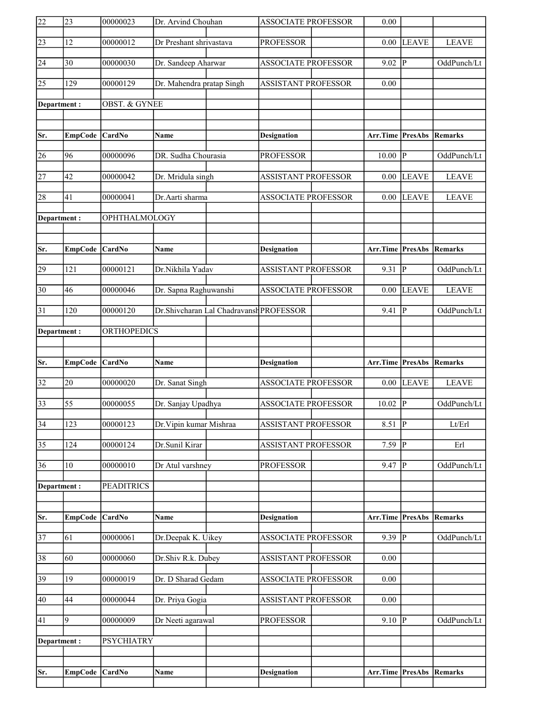| 22              | 23               | 00000023                 | Dr. Arvind Chouhan        |                                         | <b>ASSOCIATE PROFESSOR</b> | 0.00                            |                         |                |
|-----------------|------------------|--------------------------|---------------------------|-----------------------------------------|----------------------------|---------------------------------|-------------------------|----------------|
| $\overline{23}$ | 12               | 00000012                 | Dr Preshant shrivastava   |                                         | <b>PROFESSOR</b>           | 0.00                            | <b>LEAVE</b>            | <b>LEAVE</b>   |
| 24              | 30               | 00000030                 | Dr. Sandeep Aharwar       |                                         | <b>ASSOCIATE PROFESSOR</b> | 9.02                            | P                       | OddPunch/Lt    |
| $\overline{25}$ | 129              | 00000129                 | Dr. Mahendra pratap Singh |                                         | <b>ASSISTANT PROFESSOR</b> | 0.00                            |                         |                |
| Department:     |                  | <b>OBST. &amp; GYNEE</b> |                           |                                         |                            |                                 |                         |                |
|                 |                  |                          |                           |                                         |                            |                                 |                         |                |
| Sr.             | EmpCode CardNo   |                          | Name                      |                                         | <b>Designation</b>         | Arr.Time PresAbs                |                         | Remarks        |
| 26              | 96               | 00000096                 | DR. Sudha Chourasia       |                                         | <b>PROFESSOR</b>           | 10.00                           | lP.                     | OddPunch/Lt    |
| $\overline{27}$ | 42               | 00000042                 | Dr. Mridula singh         |                                         | <b>ASSISTANT PROFESSOR</b> | 0.00                            | <b>LEAVE</b>            | <b>LEAVE</b>   |
| 28              | 41               | 00000041                 | Dr.Aarti sharma           |                                         | <b>ASSOCIATE PROFESSOR</b> | 0.00                            | <b>LEAVE</b>            | <b>LEAVE</b>   |
| Department:     |                  | OPHTHALMOLOGY            |                           |                                         |                            |                                 |                         |                |
|                 |                  |                          |                           |                                         |                            |                                 |                         |                |
| Sr.             | EmpCode CardNo   |                          | <b>Name</b>               |                                         | <b>Designation</b>         | <b>Arr.Time PresAbs Remarks</b> |                         |                |
| 29              | 121              | 00000121                 | Dr.Nikhila Yadav          |                                         | <b>ASSISTANT PROFESSOR</b> | 9.31                            | $\overline{\mathbb{P}}$ | OddPunch/Lt    |
| $\overline{30}$ | 46               | 00000046                 | Dr. Sapna Raghuwanshi     |                                         | <b>ASSOCIATE PROFESSOR</b> | 0.00                            | <b>LEAVE</b>            | <b>LEAVE</b>   |
| 31              | 120              | 00000120                 |                           | Dr.Shivcharan Lal Chadravansh PROFESSOR |                            | 9.41                            | P                       | OddPunch/Lt    |
| Department:     |                  | <b>ORTHOPEDICS</b>       |                           |                                         |                            |                                 |                         |                |
|                 |                  |                          |                           |                                         |                            |                                 |                         |                |
|                 |                  |                          |                           |                                         |                            |                                 |                         |                |
| Sr.             | EmpCode CardNo   |                          | Name                      |                                         | <b>Designation</b>         | Arr.Time                        | PresAbs                 | Remarks        |
| $\overline{32}$ | 20               | 00000020                 | Dr. Sanat Singh           |                                         | <b>ASSOCIATE PROFESSOR</b> | 0.00                            | LEAVE                   | <b>LEAVE</b>   |
| $\overline{33}$ | 55               | 00000055                 | Dr. Sanjay Upadhya        |                                         | <b>ASSOCIATE PROFESSOR</b> | 10.02                           | ∣P                      | OddPunch/Lt    |
| $\overline{34}$ | $\overline{123}$ | 00000123                 | Dr. Vipin kumar Mishraa   |                                         | <b>ASSISTANT PROFESSOR</b> | 8.51                            | $\overline{P}$          | Lt/Erl         |
| $\overline{35}$ | 124              | 00000124                 | Dr.Sunil Kirar            |                                         | <b>ASSISTANT PROFESSOR</b> | 7.59                            | P                       | Erl            |
| 36              | 10               | 00000010                 | Dr Atul varshney          |                                         | <b>PROFESSOR</b>           | 9.47                            | IP.                     | OddPunch/Lt    |
| Department:     |                  | <b>PEADITRICS</b>        |                           |                                         |                            |                                 |                         |                |
|                 |                  |                          |                           |                                         |                            |                                 |                         |                |
| Sr.             | <b>EmpCode</b>   | CardNo                   | Name                      |                                         | <b>Designation</b>         | Arr.Time                        | PresAbs                 | <b>Remarks</b> |
| $\overline{37}$ | 61               | 00000061                 | Dr.Deepak K. Uikey        |                                         | <b>ASSOCIATE PROFESSOR</b> | $9.39$ P                        |                         | OddPunch/Lt    |
| 38              | 60               | 00000060                 | Dr.Shiv R.k. Dubey        |                                         | ASSISTANT PROFESSOR        | 0.00                            |                         |                |
| 39              | 19               | 00000019                 | Dr. D Sharad Gedam        |                                         | ASSOCIATE PROFESSOR        | 0.00                            |                         |                |
| 40              | 44               | 00000044                 | Dr. Priya Gogia           |                                         | <b>ASSISTANT PROFESSOR</b> | 0.00                            |                         |                |
| 41              | 9                | 00000009                 | Dr Neeti agarawal         |                                         | <b>PROFESSOR</b>           | $9.10$ P                        |                         | OddPunch/Lt    |
| Department:     |                  | <b>PSYCHIATRY</b>        |                           |                                         |                            |                                 |                         |                |
|                 |                  |                          |                           |                                         |                            |                                 |                         |                |